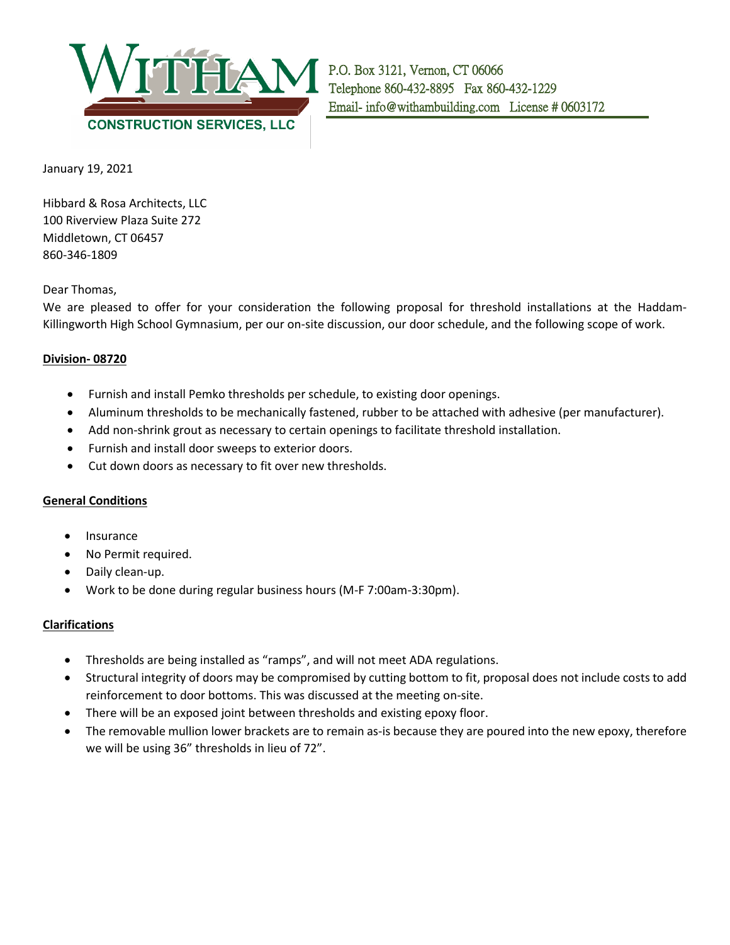

January 19, 2021

Hibbard & Rosa Architects, LLC 100 Riverview Plaza Suite 272 Middletown, CT 06457 860-346-1809

Dear Thomas,

We are pleased to offer for your consideration the following proposal for threshold installations at the Haddam-Killingworth High School Gymnasium, per our on-site discussion, our door schedule, and the following scope of work.

## **Division- 08720**

- Furnish and install Pemko thresholds per schedule, to existing door openings.
- Aluminum thresholds to be mechanically fastened, rubber to be attached with adhesive (per manufacturer).
- Add non-shrink grout as necessary to certain openings to facilitate threshold installation.
- Furnish and install door sweeps to exterior doors.
- Cut down doors as necessary to fit over new thresholds.

## **General Conditions**

- Insurance
- No Permit required.
- Daily clean-up.
- Work to be done during regular business hours (M-F 7:00am-3:30pm).

## **Clarifications**

- Thresholds are being installed as "ramps", and will not meet ADA regulations.
- Structural integrity of doors may be compromised by cutting bottom to fit, proposal does not include costs to add reinforcement to door bottoms. This was discussed at the meeting on-site.
- There will be an exposed joint between thresholds and existing epoxy floor.
- The removable mullion lower brackets are to remain as-is because they are poured into the new epoxy, therefore we will be using 36" thresholds in lieu of 72".